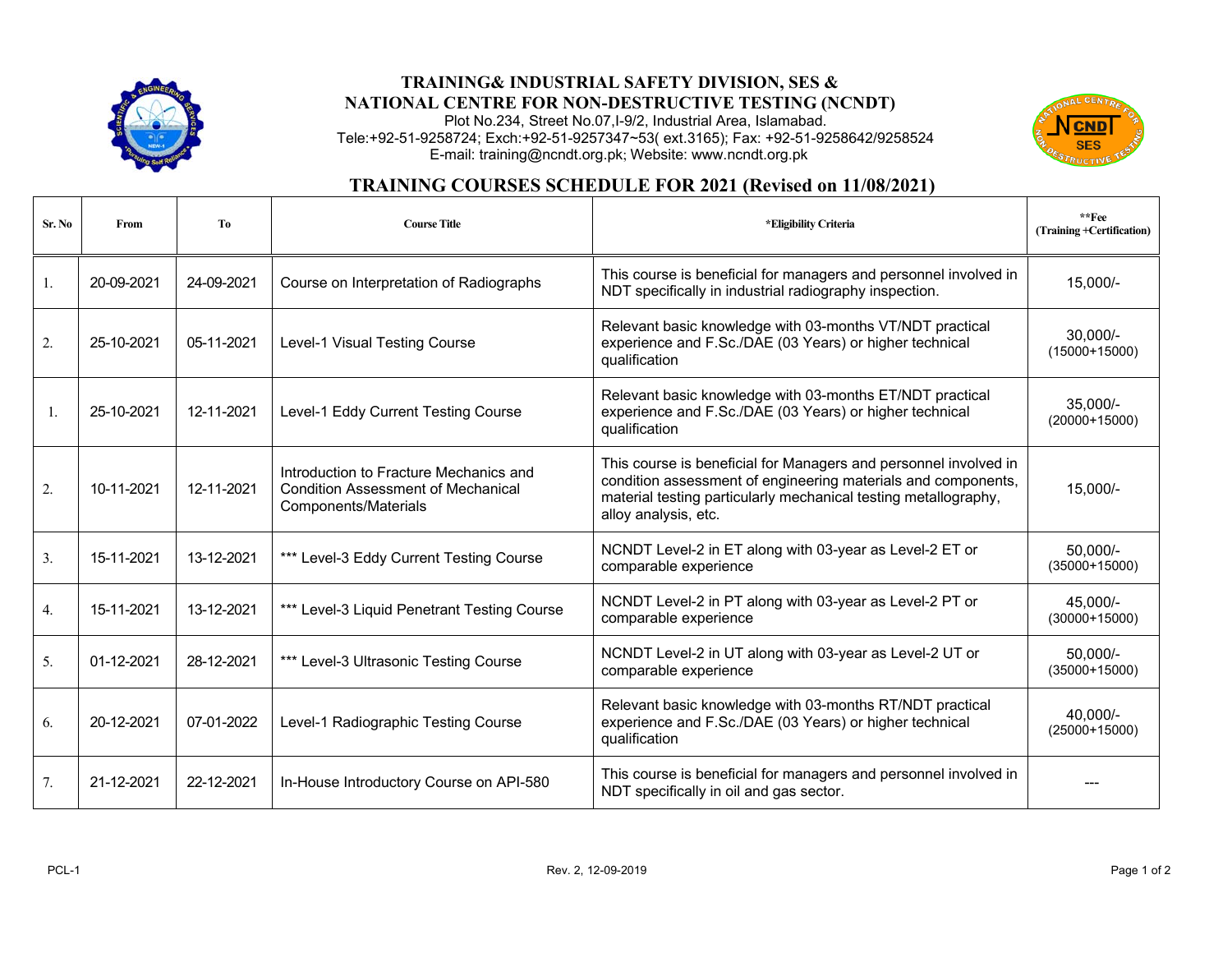

## **TRAINING& INDUSTRIAL SAFETY DIVISION, SES & NATIONAL CENTRE FOR NON-DESTRUCTIVE TESTING (NCNDT)**

Plot No.234, Street No.07,I-9/2, Industrial Area, Islamabad. Tele:+92-51-9258724; Exch:+92-51-9257347~53( ext.3165); Fax: +92-51-9258642/9258524 E-mail: training@ncndt.org.pk; Website: www.ncndt.org.pk



## **TRAINING COURSES SCHEDULE FOR 2021 (Revised on 11/08/2021)**

| Sr. No | <b>From</b> | T <sub>0</sub> | <b>Course Title</b>                                                                                         | *Eligibility Criteria                                                                                                                                                                                                        | $*$ $Fee$<br>(Training +Certification) |
|--------|-------------|----------------|-------------------------------------------------------------------------------------------------------------|------------------------------------------------------------------------------------------------------------------------------------------------------------------------------------------------------------------------------|----------------------------------------|
| 1.     | 20-09-2021  | 24-09-2021     | Course on Interpretation of Radiographs                                                                     | This course is beneficial for managers and personnel involved in<br>NDT specifically in industrial radiography inspection.                                                                                                   | 15,000/-                               |
| 2.     | 25-10-2021  | 05-11-2021     | Level-1 Visual Testing Course                                                                               | Relevant basic knowledge with 03-months VT/NDT practical<br>experience and F.Sc./DAE (03 Years) or higher technical<br>qualification                                                                                         | $30.000/-$<br>$(15000+15000)$          |
| 1.     | 25-10-2021  | 12-11-2021     | Level-1 Eddy Current Testing Course                                                                         | Relevant basic knowledge with 03-months ET/NDT practical<br>experience and F.Sc./DAE (03 Years) or higher technical<br>qualification                                                                                         | $35.000/-$<br>$(20000+15000)$          |
| 2.     | 10-11-2021  | 12-11-2021     | Introduction to Fracture Mechanics and<br><b>Condition Assessment of Mechanical</b><br>Components/Materials | This course is beneficial for Managers and personnel involved in<br>condition assessment of engineering materials and components,<br>material testing particularly mechanical testing metallography,<br>alloy analysis, etc. | 15,000/-                               |
| 3.     | 15-11-2021  | 13-12-2021     | *** Level-3 Eddy Current Testing Course                                                                     | NCNDT Level-2 in ET along with 03-year as Level-2 ET or<br>comparable experience                                                                                                                                             | 50,000/-<br>$(35000+15000)$            |
| 4.     | 15-11-2021  | 13-12-2021     | *** Level-3 Liquid Penetrant Testing Course                                                                 | NCNDT Level-2 in PT along with 03-year as Level-2 PT or<br>comparable experience                                                                                                                                             | 45,000/-<br>$(30000+15000)$            |
| 5.     | 01-12-2021  | 28-12-2021     | *** Level-3 Ultrasonic Testing Course                                                                       | NCNDT Level-2 in UT along with 03-year as Level-2 UT or<br>comparable experience                                                                                                                                             | $50,000/-$<br>$(35000+15000)$          |
| 6.     | 20-12-2021  | 07-01-2022     | Level-1 Radiographic Testing Course                                                                         | Relevant basic knowledge with 03-months RT/NDT practical<br>experience and F.Sc./DAE (03 Years) or higher technical<br>qualification                                                                                         | 40,000/-<br>$(25000+15000)$            |
| 7.     | 21-12-2021  | 22-12-2021     | In-House Introductory Course on API-580                                                                     | This course is beneficial for managers and personnel involved in<br>NDT specifically in oil and gas sector.                                                                                                                  |                                        |